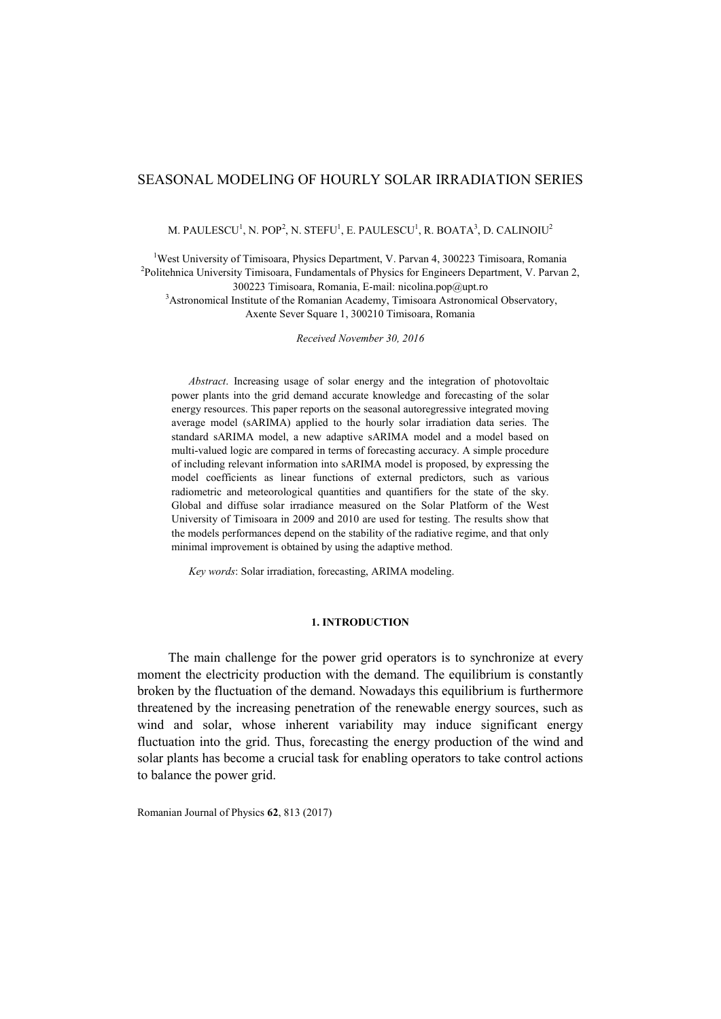# SEASONAL MODELING OF HOURLY SOLAR IRRADIATION SERIES

M. PAULESCU $^1$ , N. POP $^2$ , N. STEFU $^1$ , E. PAULESCU $^1$ , R. BOATA $^3$ , D. CALINOIU $^2$ 

<sup>1</sup>West University of Timisoara, Physics Department, V. Parvan 4, 300223 Timisoara, Romania <sup>2</sup>Politehnica University Timisoara, Fundamentals of Physics for Engineers Department, V. Parvan 2, 300223 Timisoara, Romania, E-mail: [nicolina.pop@upt.ro](mailto:nicolina.pop@upt.ro)

<sup>3</sup>Astronomical Institute of the Romanian Academy, Timisoara Astronomical Observatory, Axente Sever Square 1, 300210 Timisoara, Romania

*Received November 30, 2016*

*Abstract*. Increasing usage of solar energy and the integration of photovoltaic power plants into the grid demand accurate knowledge and forecasting of the solar energy resources. This paper reports on the seasonal autoregressive integrated moving average model (sARIMA) applied to the hourly solar irradiation data series. The standard sARIMA model, a new adaptive sARIMA model and a model based on multi-valued logic are compared in terms of forecasting accuracy. A simple procedure of including relevant information into sARIMA model is proposed, by expressing the model coefficients as linear functions of external predictors, such as various radiometric and meteorological quantities and quantifiers for the state of the sky. Global and diffuse solar irradiance measured on the Solar Platform of the West University of Timisoara in 2009 and 2010 are used for testing. The results show that the models performances depend on the stability of the radiative regime, and that only minimal improvement is obtained by using the adaptive method.

*Key words*: Solar irradiation, forecasting, ARIMA modeling.

# **1. INTRODUCTION**

The main challenge for the power grid operators is to synchronize at every moment the electricity production with the demand. The equilibrium is constantly broken by the fluctuation of the demand. Nowadays this equilibrium is furthermore threatened by the increasing penetration of the renewable energy sources, such as wind and solar, whose inherent variability may induce significant energy fluctuation into the grid. Thus, forecasting the energy production of the wind and solar plants has become a crucial task for enabling operators to take control actions to balance the power grid.

Romanian Journal of Physics **62**, 813 (2017)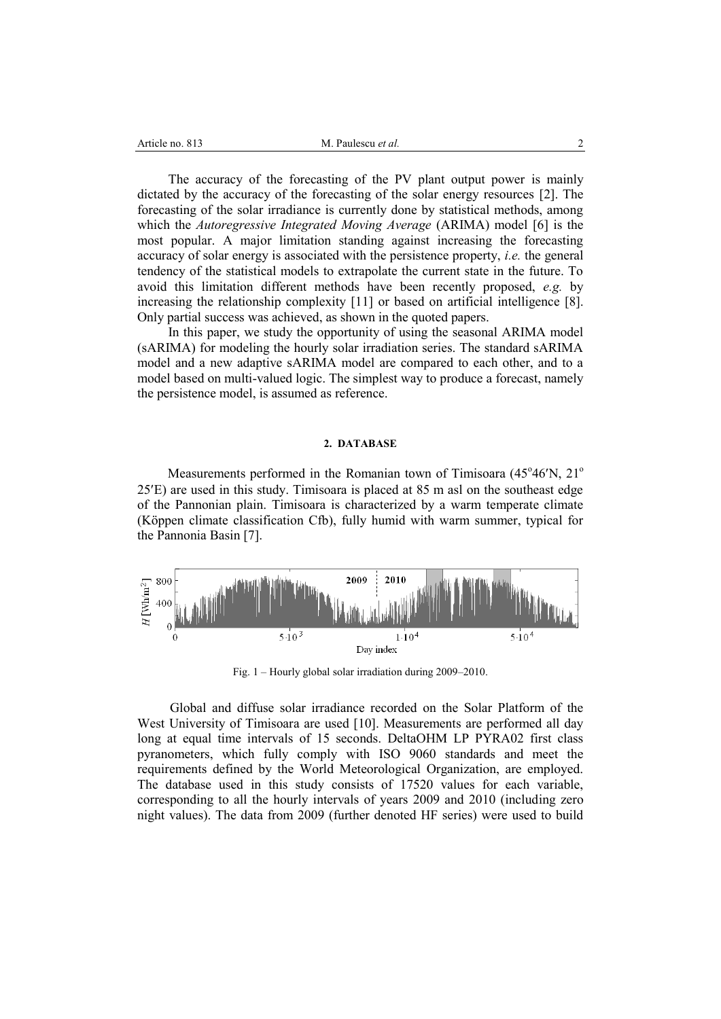| Article no. 813 | M. Paulescu <i>et al.</i> |  |
|-----------------|---------------------------|--|
|                 |                           |  |

The accuracy of the forecasting of the PV plant output power is mainly dictated by the accuracy of the forecasting of the solar energy resources [2]. The forecasting of the solar irradiance is currently done by statistical methods, among which the *Autoregressive Integrated Moving Average* (ARIMA) model [6] is the most popular. A major limitation standing against increasing the forecasting accuracy of solar energy is associated with the persistence property, *i.e.* the general tendency of the statistical models to extrapolate the current state in the future. To avoid this limitation different methods have been recently proposed, *e.g.* by increasing the relationship complexity [11] or based on artificial intelligence [8]. Only partial success was achieved, as shown in the quoted papers.

In this paper, we study the opportunity of using the seasonal ARIMA model (sARIMA) for modeling the hourly solar irradiation series. The standard sARIMA model and a new adaptive sARIMA model are compared to each other, and to a model based on multi-valued logic. The simplest way to produce a forecast, namely the persistence model, is assumed as reference.

## **2. DATABASE**

Measurements performed in the Romanian town of Timisoara (45°46'N, 21° 25E) are used in this study. Timisoara is placed at 85 m asl on the southeast edge of the Pannonian plain. Timisoara is characterized by a warm temperate climate (Köppen climate classification Cfb), fully humid with warm summer, typical for the Pannonia Basin [7].



Fig. 1 – Hourly global solar irradiation during 2009–2010.

Global and diffuse solar irradiance recorded on the Solar Platform of the West University of Timisoara are used [10]. Measurements are performed all day long at equal time intervals of 15 seconds. DeltaOHM LP PYRA02 first class pyranometers, which fully comply with ISO 9060 standards and meet the requirements defined by the World Meteorological Organization, are employed. The database used in this study consists of 17520 values for each variable, corresponding to all the hourly intervals of years 2009 and 2010 (including zero night values). The data from 2009 (further denoted HF series) were used to build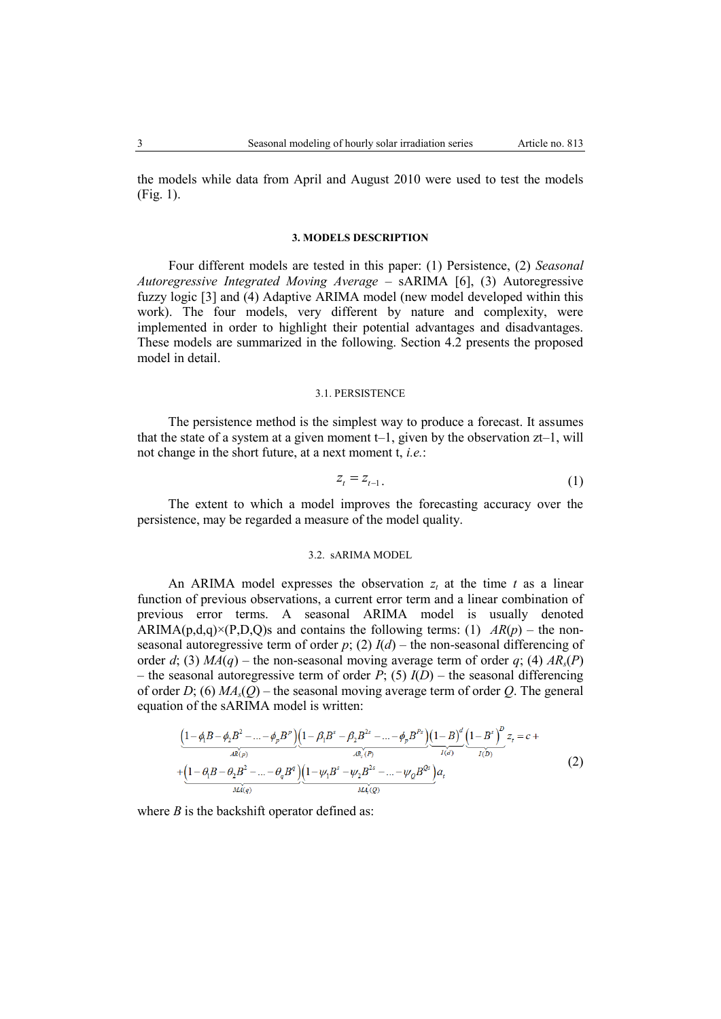the models while data from April and August 2010 were used to test the models (Fig. 1).

#### **3. MODELS DESCRIPTION**

Four different models are tested in this paper: (1) Persistence, (2) *Seasonal Autoregressive Integrated Moving Average* – sARIMA [6], (3) Autoregressive fuzzy logic [3] and (4) Adaptive ARIMA model (new model developed within this work). The four models, very different by nature and complexity, were implemented in order to highlight their potential advantages and disadvantages. These models are summarized in the following. Section 4.2 presents the proposed model in detail.

## 3.1. PERSISTENCE

The persistence method is the simplest way to produce a forecast. It assumes that the state of a system at a given moment  $t-1$ , given by the observation  $zt-1$ , will not change in the short future, at a next moment t, *i.e.*:

$$
z_t = z_{t-1} \tag{1}
$$

The extent to which a model improves the forecasting accuracy over the persistence, may be regarded a measure of the model quality.

## 3.2. sARIMA MODEL

An ARIMA model expresses the observation  $z_t$  at the time t as a linear function of previous observations, a current error term and a linear combination of previous error terms. A seasonal ARIMA model is usually denoted ARIMA( $p,d,q$ )×( $P,D,Q$ )s and contains the following terms: (1)  $AR(p)$  – the nonseasonal autoregressive term of order  $p$ ; (2)  $I(d)$  – the non-seasonal differencing of order *d*; (3)  $MA(q)$  – the non-seasonal moving average term of order *q*; (4)  $AR_s(P)$ – the seasonal autoregressive term of order  $P$ ; (5)  $I(D)$  – the seasonal differencing of order *D*; (6)  $MA_s(Q)$  – the seasonal moving average term of order *Q*. The general equation of the sARIMA model is written:

$$
\underbrace{\left(1-\phi_{1}B-\phi_{2}B^{2}-\ldots-\phi_{p}B^{p}\right)}_{AB(p)}\underbrace{\left(1-\beta_{1}B^{s}-\beta_{2}B^{2s}-\ldots-\phi_{p}B^{p}\right)}_{AB_{i}(P)}\underbrace{\left(1-B\right)^{d}\left(1-B^{s}\right)^{p}}_{I(d)}z_{t}=c++\underbrace{\left(1-\theta_{1}B-\theta_{2}B^{2}-\ldots-\theta_{q}B^{q}\right)}_{BA(q)}\underbrace{\left(1-\psi_{1}B^{s}-\psi_{2}B^{2s}-\ldots-\psi_{Q}B^{q}\right)}_{BA_{i}(Q)}a_{t}}_{AA_{i}(Q)}
$$
(2)

where  $B$  is the backshift operator defined as: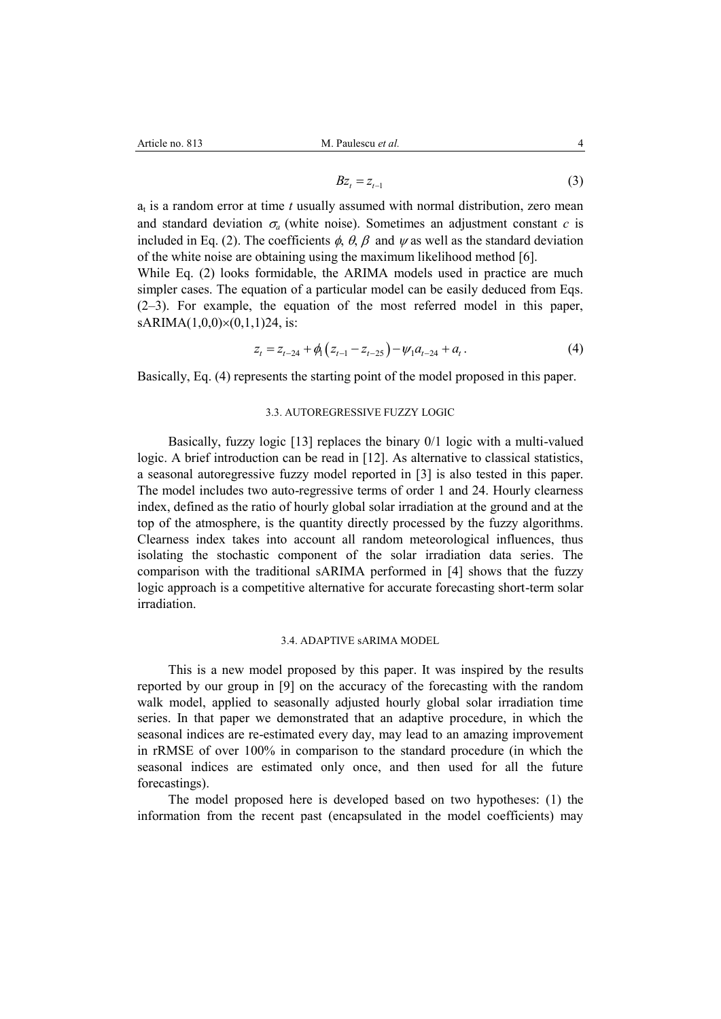$$
Bz_t = z_{t-1} \tag{3}
$$

 $a_t$  is a random error at time  $t$  usually assumed with normal distribution, zero mean and standard deviation  $\sigma_a$  (white noise). Sometimes an adjustment constant *c* is included in Eq. (2). The coefficients  $\phi$ ,  $\theta$ ,  $\beta$  and  $\psi$  as well as the standard deviation of the white noise are obtaining using the maximum likelihood method [6].

While Eq. (2) looks formidable, the ARIMA models used in practice are much simpler cases. The equation of a particular model can be easily deduced from Eqs. (2–3). For example, the equation of the most referred model in this paper, sARIMA $(1,0,0)\times(0,1,1)$ 24, is:

$$
z_{t} = z_{t-24} + \phi_{1}(z_{t-1} - z_{t-25}) - \psi_{1}a_{t-24} + a_{t}.
$$
\n(4)

Basically, Eq. (4) represents the starting point of the model proposed in this paper.

# 3.3. AUTOREGRESSIVE FUZZY LOGIC

Basically, fuzzy logic [13] replaces the binary 0/1 logic with a multi-valued logic. A brief introduction can be read in [12]. As alternative to classical statistics, a seasonal autoregressive fuzzy model reported in [3] is also tested in this paper. The model includes two auto-regressive terms of order 1 and 24. Hourly clearness index, defined as the ratio of hourly global solar irradiation at the ground and at the top of the atmosphere, is the quantity directly processed by the fuzzy algorithms. Clearness index takes into account all random meteorological influences, thus isolating the stochastic component of the solar irradiation data series. The comparison with the traditional sARIMA performed in [4] shows that the fuzzy logic approach is a competitive alternative for accurate forecasting short-term solar irradiation.

## 3.4. ADAPTIVE sARIMA MODEL

This is a new model proposed by this paper. It was inspired by the results reported by our group in [9] on the accuracy of the forecasting with the random walk model, applied to seasonally adjusted hourly global solar irradiation time series. In that paper we demonstrated that an adaptive procedure, in which the seasonal indices are re-estimated every day, may lead to an amazing improvement in rRMSE of over 100% in comparison to the standard procedure (in which the seasonal indices are estimated only once, and then used for all the future forecastings).

The model proposed here is developed based on two hypotheses: (1) the information from the recent past (encapsulated in the model coefficients) may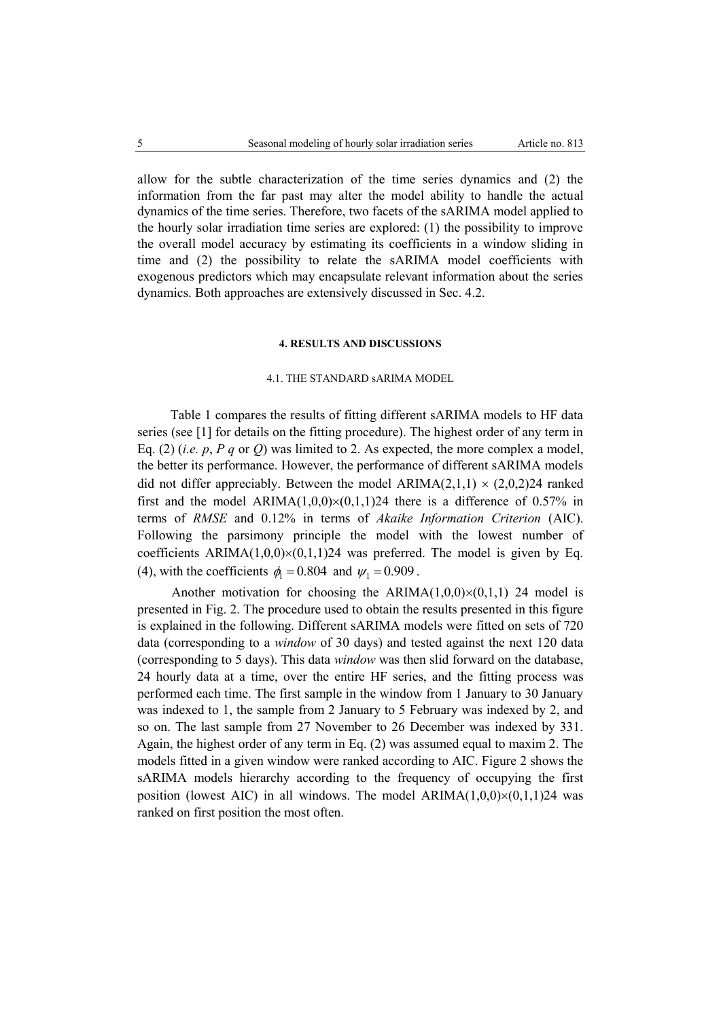allow for the subtle characterization of the time series dynamics and (2) the information from the far past may alter the model ability to handle the actual dynamics of the time series. Therefore, two facets of the sARIMA model applied to the hourly solar irradiation time series are explored: (1) the possibility to improve the overall model accuracy by estimating its coefficients in a window sliding in time and (2) the possibility to relate the sARIMA model coefficients with exogenous predictors which may encapsulate relevant information about the series dynamics. Both approaches are extensively discussed in Sec. 4.2.

## **4. RESULTS AND DISCUSSIONS**

# 4.1. THE STANDARD sARIMA MODEL

Table 1 compares the results of fitting different sARIMA models to HF data series (see [1] for details on the fitting procedure). The highest order of any term in Eq. (2) (*i.e. p*, *P q* or *Q*) was limited to 2. As expected, the more complex a model, the better its performance. However, the performance of different sARIMA models did not differ appreciably. Between the model  $ARIMA(2,1,1) \times (2,0,2)24$  ranked first and the model  $ARIMA(1,0,0)\times(0,1,1)24$  there is a difference of 0.57% in terms of *RMSE* and 0.12% in terms of *Akaike Information Criterion* (AIC). Following the parsimony principle the model with the lowest number of coefficients  $ARIMA(1,0,0)\times(0,1,1)24$  was preferred. The model is given by Eq. (4), with the coefficients  $\phi_1 = 0.804$  and  $\psi_1 = 0.909$ .

Another motivation for choosing the ARIMA $(1,0,0)\times(0,1,1)$  24 model is presented in Fig. 2. The procedure used to obtain the results presented in this figure is explained in the following. Different sARIMA models were fitted on sets of 720 data (corresponding to a *window* of 30 days) and tested against the next 120 data (corresponding to 5 days). This data *window* was then slid forward on the database, 24 hourly data at a time, over the entire HF series, and the fitting process was performed each time. The first sample in the window from 1 January to 30 January was indexed to 1, the sample from 2 January to 5 February was indexed by 2, and so on. The last sample from 27 November to 26 December was indexed by 331. Again, the highest order of any term in Eq. (2) was assumed equal to maxim 2. The models fitted in a given window were ranked according to AIC. Figure 2 shows the sARIMA models hierarchy according to the frequency of occupying the first position (lowest AIC) in all windows. The model  $ARIMA(1,0,0)\times(0,1,1)24$  was ranked on first position the most often.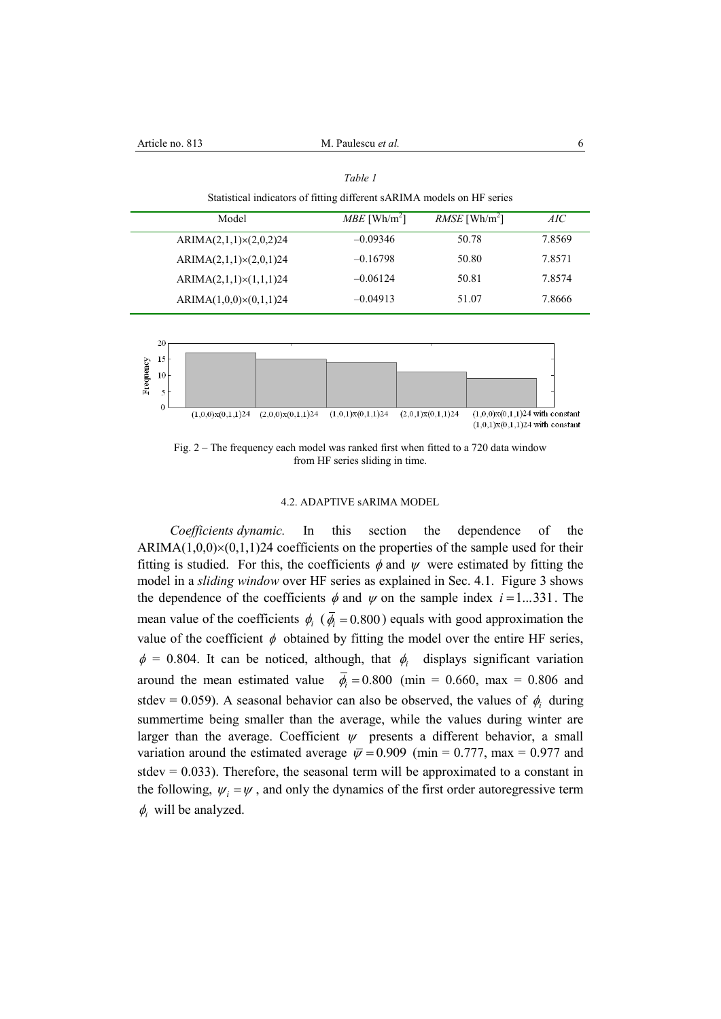| Article no. 813                   | M. Paulescu et al.                                                     | 6                           |        |
|-----------------------------------|------------------------------------------------------------------------|-----------------------------|--------|
|                                   | Table 1                                                                |                             |        |
|                                   | Statistical indicators of fitting different sARIMA models on HF series |                             |        |
| Model                             | $MBE$ [Wh/m <sup>2</sup> ]                                             | $RMSE$ [Wh/m <sup>2</sup> ] | AIC    |
| $ARIMA(2,1,1)\times(2,0,2)24$     | $-0.09346$                                                             | 50.78                       | 7.8569 |
| $ARIMA(2,1,1)\times(2,0,1)24$     | $-0.16798$                                                             | 50.80                       | 7.8571 |
| $ARIMA(2,1,1)\times(1,1,1)24$     | $-0.06124$                                                             | 50.81                       | 7.8574 |
| $ARIMA(1,0,0)\times(0,1,1)24$     | $-0.04913$                                                             | 51.07                       | 7.8666 |
|                                   |                                                                        |                             |        |
| 20                                |                                                                        |                             |        |
| 15<br>requency<br>10 <sup>1</sup> |                                                                        |                             |        |
|                                   |                                                                        |                             |        |





## 4.2. ADAPTIVE sARIMA MODEL

*Coefficients dynamic.* In this section the dependence of the  $ARIMA(1,0,0)\times(0,1,1)24$  coefficients on the properties of the sample used for their fitting is studied. For this, the coefficients  $\phi$  and  $\psi$  were estimated by fitting the model in a *sliding window* over HF series as explained in Sec. 4.1. Figure 3 shows the dependence of the coefficients  $\phi$  and  $\psi$  on the sample index  $i = 1...331$ . The mean value of the coefficients  $\phi_i$  ( $\overline{\phi}_i$  = 0.800) equals with good approximation the value of the coefficient  $\phi$  obtained by fitting the model over the entire HF series,  $\phi = 0.804$ . It can be noticed, although, that  $\phi_i$  displays significant variation around the mean estimated value  $\bar{\phi}_i = 0.800$  (min = 0.660, max = 0.806 and stdev = 0.059). A seasonal behavior can also be observed, the values of  $\phi_i$  during summertime being smaller than the average, while the values during winter are larger than the average. Coefficient  $\psi$  presents a different behavior, a small variation around the estimated average  $\bar{\psi} = 0.909$  (min = 0.777, max = 0.977 and stdev  $= 0.033$ ). Therefore, the seasonal term will be approximated to a constant in the following,  $\psi_i = \psi$ , and only the dynamics of the first order autoregressive term  $\phi_i$  will be analyzed.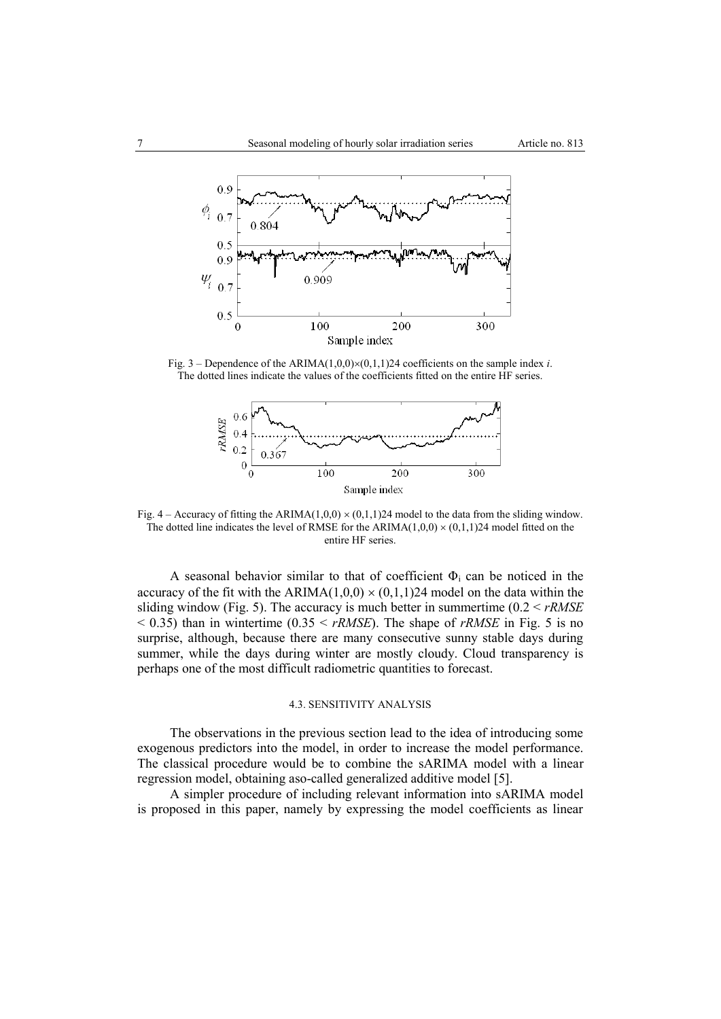

Fig. 3 – Dependence of the ARIMA $(1,0,0)\times(0,1,1)$ 24 coefficients on the sample index *i*. The dotted lines indicate the values of the coefficients fitted on the entire HF series.



Fig. 4 – Accuracy of fitting the ARIMA(1,0,0)  $\times$  (0,1,1)24 model to the data from the sliding window. The dotted line indicates the level of RMSE for the ARIMA( $1,0,0$ )  $\times$  (0,1,1)24 model fitted on the entire HF series.

A seasonal behavior similar to that of coefficient  $\Phi_i$  can be noticed in the accuracy of the fit with the ARIMA(1,0,0)  $\times$  (0,1,1)24 model on the data within the sliding window (Fig. 5). The accuracy is much better in summertime (0.2 < *rRMSE*  $<$  0.35) than in wintertime (0.35  $<$  *rRMSE*). The shape of *rRMSE* in Fig. 5 is no surprise, although, because there are many consecutive sunny stable days during summer, while the days during winter are mostly cloudy. Cloud transparency is perhaps one of the most difficult radiometric quantities to forecast.

# 4.3. SENSITIVITY ANALYSIS

The observations in the previous section lead to the idea of introducing some exogenous predictors into the model, in order to increase the model performance. The classical procedure would be to combine the sARIMA model with a linear regression model, obtaining aso-called generalized additive model [5].

A simpler procedure of including relevant information into sARIMA model is proposed in this paper, namely by expressing the model coefficients as linear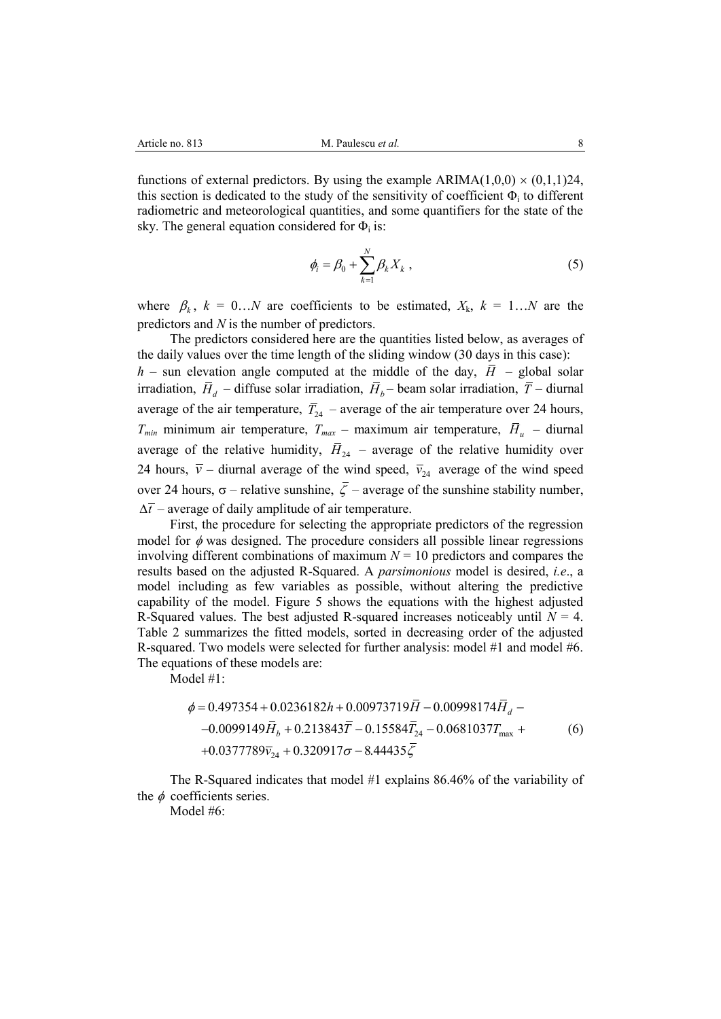functions of external predictors. By using the example ARIMA(1,0,0)  $\times$  (0,1,1)24, this section is dedicated to the study of the sensitivity of coefficient  $\Phi_i$  to different radiometric and meteorological quantities, and some quantifiers for the state of the sky. The general equation considered for  $\Phi_i$  is:

$$
\phi_i = \beta_0 + \sum_{k=1}^N \beta_k X_k \,, \tag{5}
$$

where  $\beta_k$ ,  $k = 0...N$  are coefficients to be estimated,  $X_k$ ,  $k = 1...N$  are the predictors and *N* is the number of predictors.

The predictors considered here are the quantities listed below, as averages of the daily values over the time length of the sliding window (30 days in this case): *h* – sun elevation angle computed at the middle of the day, *H –* global solar irradiation,  $H_d$  – diffuse solar irradiation,  $H_b$ – beam solar irradiation, T – diurnal average of the air temperature,  $T_{24}$  – average of the air temperature over 24 hours,  $T_{min}$  minimum air temperature,  $T_{max}$  – maximum air temperature,  $H_u$  – diurnal average of the relative humidity,  $H_{24}$  – average of the relative humidity over 24 hours,  $\overline{v}$  – diurnal average of the wind speed,  $\overline{v}_{24}$  average of the wind speed over 24 hours,  $\sigma$  – relative sunshine,  $\zeta$  – average of the sunshine stability number,  $\Delta \bar{t}$  – average of daily amplitude of air temperature.

First, the procedure for selecting the appropriate predictors of the regression model for  $\phi$  was designed. The procedure considers all possible linear regressions involving different combinations of maximum  $N = 10$  predictors and compares the results based on the adjusted R-Squared. A *parsimonious* model is desired, *i.e*., a model including as few variables as possible, without altering the predictive capability of the model. Figure 5 shows the equations with the highest adjusted R-Squared values. The best adjusted R-squared increases noticeably until  $N = 4$ . Table 2 summarizes the fitted models, sorted in decreasing order of the adjusted R-squared. Two models were selected for further analysis: model #1 and model #6. The equations of these models are:

Model #1:

$$
\phi = 0.497354 + 0.0236182h + 0.00973719\overline{H} - 0.00998174\overline{H}_d - 0.0099149\overline{H}_b + 0.213843\overline{T} - 0.15584\overline{T}_{24} - 0.0681037T_{\text{max}} + 0.0377789\overline{v}_{24} + 0.320917\sigma - 8.44435\overline{\zeta}
$$
\n(6)

The R-Squared indicates that model #1 explains 86.46% of the variability of the  $\phi$  coefficients series.

Model #6: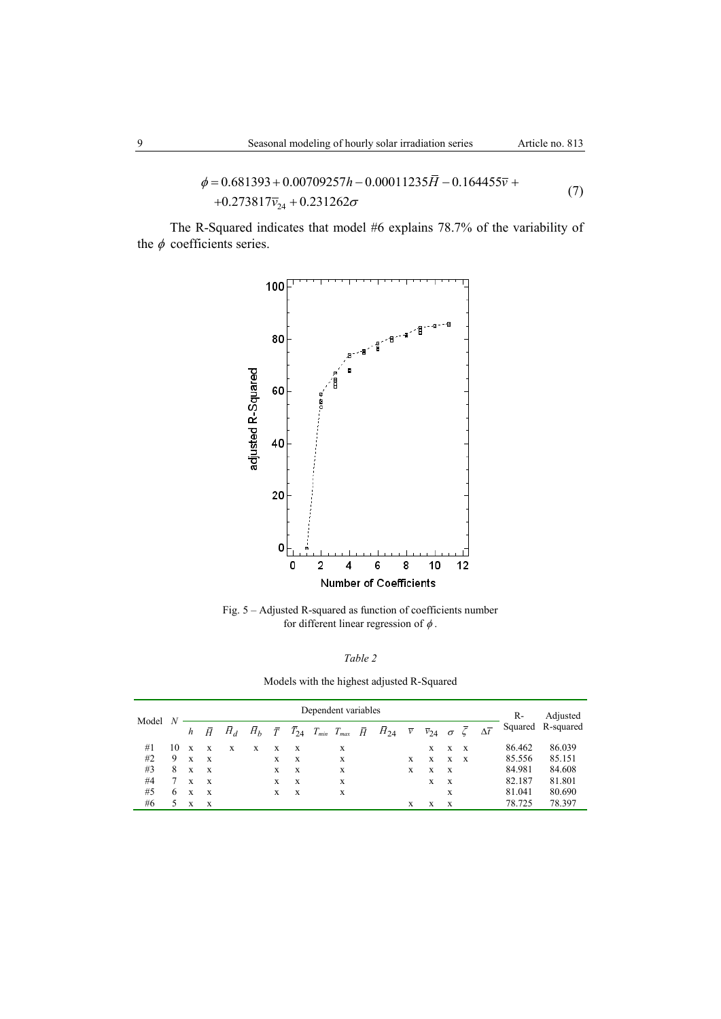$$
\phi = 0.681393 + 0.00709257h - 0.00011235\overline{H} - 0.164455\overline{v} +
$$
  
+0.273817 $\overline{v}_{24}$  + 0.231262 $\sigma$  (7)

The R-Squared indicates that model #6 explains 78.7% of the variability of the  $\phi$  coefficients series.





|--|--|

Models with the highest adjusted R-Squared

| Model | N  | Dependent variables |              |       |       |           |                |                               |   |  |          |                  | $R-$                            | Adjusted     |              |                       |        |                   |
|-------|----|---------------------|--------------|-------|-------|-----------|----------------|-------------------------------|---|--|----------|------------------|---------------------------------|--------------|--------------|-----------------------|--------|-------------------|
|       |    | h                   | $\bar{H}$    | $H_d$ | $H_h$ | $\bar{T}$ | $\bar{T}_{24}$ | $T_{min}$ $T_{max}$ $\bar{H}$ |   |  | $H_{24}$ | $\overline{\nu}$ | $\bar{v}_{24}$ $\sigma$ $\zeta$ |              |              | $\Delta \overline{t}$ |        | Squared R-squared |
| #1    | 10 | $\mathbf{x}$        | $\mathbf{x}$ | X     | X     | X         | X              |                               | X |  |          |                  | X                               | X            | $\mathbf{x}$ |                       | 86.462 | 86.039            |
| #2    | 9  | $\mathbf{x}$        | $\mathbf{x}$ |       |       | X         | X              |                               | X |  |          | X                | X                               | X            | $\mathbf{x}$ |                       | 85.556 | 85.151            |
| #3    | 8  | $\mathbf x$         | $\mathbf{x}$ |       |       | X         | X              |                               | X |  |          | X                | X                               | $_{\rm X}$   |              |                       | 84.981 | 84.608            |
| #4    |    | $\mathbf x$         | $\mathbf{x}$ |       |       | X         | X              |                               | X |  |          |                  | X                               | $\mathbf{X}$ |              |                       | 82.187 | 81.801            |
| #5    | 6  | $\mathbf{x}$        | $\mathbf{x}$ |       |       | X         | X              |                               | X |  |          |                  |                                 | X            |              |                       | 81.041 | 80.690            |
| #6    | 5. | X                   | $\mathbf{x}$ |       |       |           |                |                               |   |  |          | X                | X                               | X            |              |                       | 78.725 | 78.397            |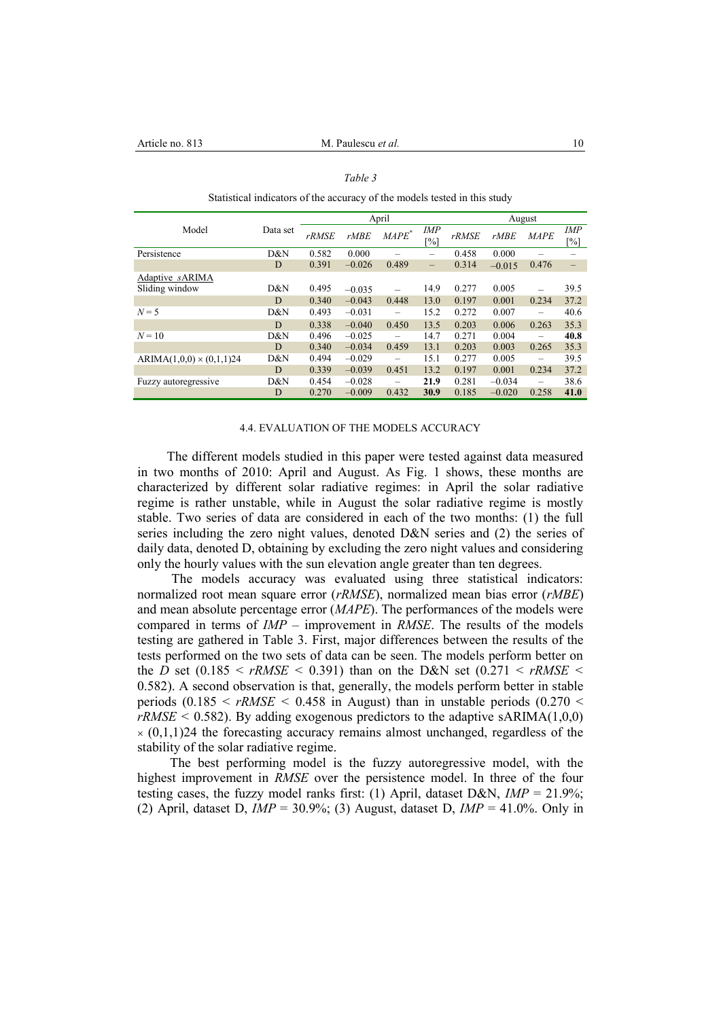| statistical indicators of the accuracy of the models tested in this study |          |              |          |          |                       |              |          |                 |               |  |
|---------------------------------------------------------------------------|----------|--------------|----------|----------|-----------------------|--------------|----------|-----------------|---------------|--|
|                                                                           |          |              |          | April    |                       | August       |          |                 |               |  |
| Model                                                                     | Data set | <b>rRMSE</b> | rMBE     | $MAPE^*$ | IMP<br>$\binom{0}{0}$ | <b>rRMSE</b> | rMBE     | <b>MAPE</b>     | IMP<br>$[\%]$ |  |
| Persistence                                                               | D&N      | 0.582        | 0.000    |          | -                     | 0.458        | 0.000    |                 |               |  |
|                                                                           | D        | 0.391        | $-0.026$ | 0.489    | $\qquad \qquad -$     | 0.314        | $-0.015$ | 0.476           | -             |  |
| Adaptive sARIMA                                                           |          |              |          |          |                       |              |          |                 |               |  |
| Sliding window                                                            | D&N      | 0.495        | $-0.035$ |          | 14.9                  | 0.277        | 0.005    |                 | 39.5          |  |
|                                                                           | D        | 0.340        | $-0.043$ | 0.448    | 13.0                  | 0.197        | 0.001    | 0.234           | 37.2          |  |
| $N=5$                                                                     | D&N      | 0.493        | $-0.031$ | -        | 15.2                  | 0.272        | 0.007    | -               | 40.6          |  |
|                                                                           | D        | 0.338        | $-0.040$ | 0.450    | 13.5                  | 0.203        | 0.006    | 0.263           | 35.3          |  |
| $N=10$                                                                    | D&N      | 0.496        | $-0.025$ |          | 14.7                  | 0.271        | 0.004    |                 | 40.8          |  |
|                                                                           | D        | 0.340        | $-0.034$ | 0.459    | 13.1                  | 0.203        | 0.003    | 0.265           | 35.3          |  |
| $ARIMA(1,0,0) \times (0,1,1)24$                                           | D&N      | 0.494        | $-0.029$ | -        | 15.1                  | 0.277        | 0.005    | -               | 39.5          |  |
|                                                                           | D        | 0.339        | $-0.039$ | 0.451    | 13.2                  | 0.197        | 0.001    | 0.234           | 37.2          |  |
| Fuzzy autoregressive                                                      | D&N      | 0.454        | $-0.028$ | -        | 21.9                  | 0.281        | $-0.034$ | $\qquad \qquad$ | 38.6          |  |
|                                                                           | D        | 0.270        | $-0.009$ | 0.432    | 30.9                  | 0.185        | $-0.020$ | 0.258           | 41.0          |  |

#### *Table 3*

Statistical indicators of the accuracy of the models tested in this study

#### 4.4. EVALUATION OF THE MODELS ACCURACY

The different models studied in this paper were tested against data measured in two months of 2010: April and August. As Fig. 1 shows, these months are characterized by different solar radiative regimes: in April the solar radiative regime is rather unstable, while in August the solar radiative regime is mostly stable. Two series of data are considered in each of the two months: (1) the full series including the zero night values, denoted D&N series and (2) the series of daily data, denoted D, obtaining by excluding the zero night values and considering only the hourly values with the sun elevation angle greater than ten degrees.

The models accuracy was evaluated using three statistical indicators: normalized root mean square error (*rRMSE*), normalized mean bias error (*rMBE*) and mean absolute percentage error (*MAPE*). The performances of the models were compared in terms of *IMP* – improvement in *RMSE*. The results of the models testing are gathered in Table 3. First, major differences between the results of the tests performed on the two sets of data can be seen. The models perform better on the *D* set  $(0.185 \le rRMSE \le 0.391)$  than on the D&N set  $(0.271 \le rRMSE \le$ 0.582). A second observation is that, generally, the models perform better in stable periods  $(0.185 \leq rRMSE \leq 0.458$  in August) than in unstable periods  $(0.270 \leq$  $rRMSE$  < 0.582). By adding exogenous predictors to the adaptive sARIMA $(1,0,0)$  $\times$  (0,1,1)24 the forecasting accuracy remains almost unchanged, regardless of the stability of the solar radiative regime.

The best performing model is the fuzzy autoregressive model, with the highest improvement in *RMSE* over the persistence model. In three of the four testing cases, the fuzzy model ranks first: (1) April, dataset D&N, *IMP* = 21.9%; (2) April, dataset D,  $IMP = 30.9\%$ ; (3) August, dataset D,  $IMP = 41.0\%$ . Only in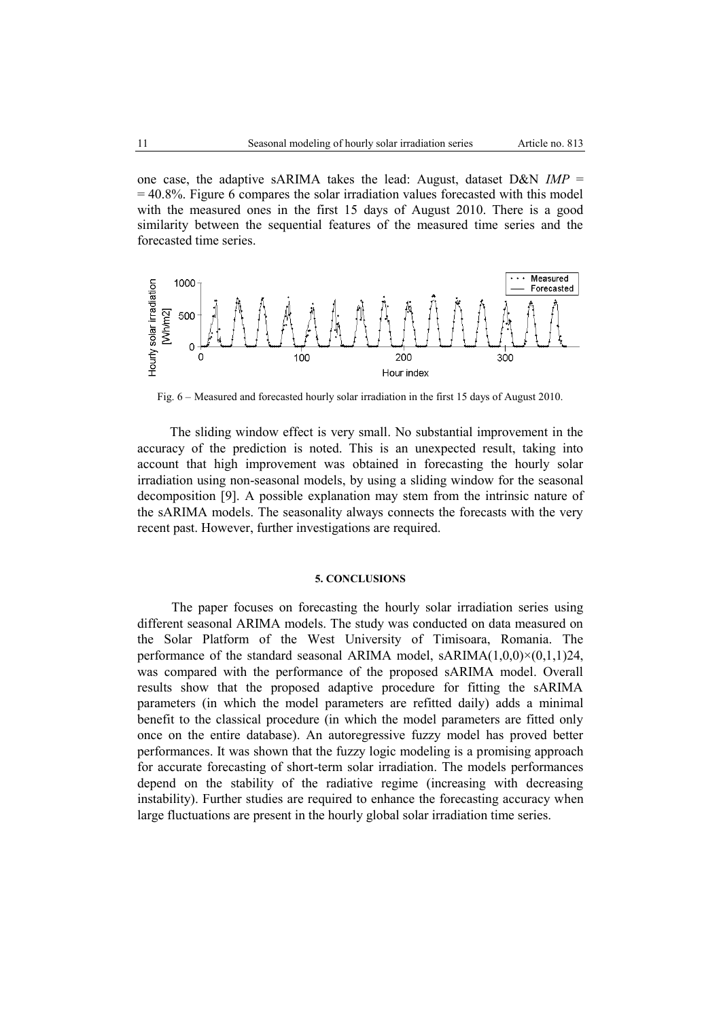one case, the adaptive sARIMA takes the lead: August, dataset D&N *IMP* =  $= 40.8\%$ . Figure 6 compares the solar irradiation values forecasted with this model with the measured ones in the first 15 days of August 2010. There is a good similarity between the sequential features of the measured time series and the forecasted time series.



Fig. 6 – Measured and forecasted hourly solar irradiation in the first 15 days of August 2010.

The sliding window effect is very small. No substantial improvement in the accuracy of the prediction is noted. This is an unexpected result, taking into account that high improvement was obtained in forecasting the hourly solar irradiation using non-seasonal models, by using a sliding window for the seasonal decomposition [9]. A possible explanation may stem from the intrinsic nature of the sARIMA models. The seasonality always connects the forecasts with the very recent past. However, further investigations are required.

# **5. CONCLUSIONS**

The paper focuses on forecasting the hourly solar irradiation series using different seasonal ARIMA models. The study was conducted on data measured on the Solar Platform of the West University of Timisoara, Romania. The performance of the standard seasonal ARIMA model,  $sARIMA(1,0,0)\times(0,1,1)24$ , was compared with the performance of the proposed sARIMA model. Overall results show that the proposed adaptive procedure for fitting the sARIMA parameters (in which the model parameters are refitted daily) adds a minimal benefit to the classical procedure (in which the model parameters are fitted only once on the entire database). An autoregressive fuzzy model has proved better performances. It was shown that the fuzzy logic modeling is a promising approach for accurate forecasting of short-term solar irradiation. The models performances depend on the stability of the radiative regime (increasing with decreasing instability). Further studies are required to enhance the forecasting accuracy when large fluctuations are present in the hourly global solar irradiation time series.